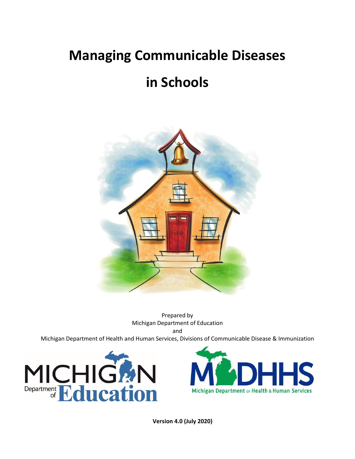# **Managing Communicable Diseases**

# **in Schools**



Prepared by Michigan Department of Education and

Michigan Department of Health and Human Services, Divisions of Communicable Disease & Immunization





**Version 4.0 (July 2020)**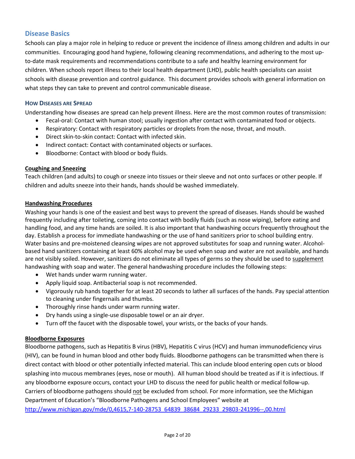# **Disease Basics**

Schools can play a major role in helping to reduce or prevent the incidence of illness among children and adults in our communities. Encouraging good hand hygiene, following cleaning recommendations, and adhering to the most upto-date mask requirements and recommendations contribute to a safe and healthy learning environment for children. When schools report illness to their local health department (LHD), public health specialists can assist schools with disease prevention and control guidance. This document provides schools with general information on what steps they can take to prevent and control communicable disease.

# **HOW DISEASES ARE SPREAD**

Understanding how diseases are spread can help prevent illness. Here are the most common routes of transmission:

- Fecal-oral: Contact with human stool; usually ingestion after contact with contaminated food or objects.
- Respiratory: Contact with respiratory particles or droplets from the nose, throat, and mouth.
- Direct skin-to-skin contact: Contact with infected skin.
- Indirect contact: Contact with contaminated objects or surfaces.
- Bloodborne: Contact with blood or body fluids.

# **Coughing and Sneezing**

Teach children (and adults) to cough or sneeze into tissues or their sleeve and not onto surfaces or other people. If children and adults sneeze into their hands, hands should be washed immediately.

# **Handwashing Procedures**

Washing your hands is one of the easiest and best ways to prevent the spread of diseases. Hands should be washed frequently including after toileting, coming into contact with bodily fluids (such as nose wiping), before eating and handling food, and any time hands are soiled. It is also important that handwashing occurs frequently throughout the day. Establish a process for immediate handwashing or the use of hand sanitizers prior to school building entry. Water basins and pre-moistened cleansing wipes are not approved substitutes for soap and running water. Alcoholbased hand sanitizers containing at least 60% alcohol may be used when soap and water are not available, and hands are not visibly soiled. However, sanitizers do not eliminate all types of germs so they should be used to supplement handwashing with soap and water. The general handwashing procedure includes the following steps:

- Wet hands under warm running water.
- Apply liquid soap. Antibacterial soap is not recommended.
- Vigorously rub hands together for at least 20 seconds to lather all surfaces of the hands. Pay special attention to cleaning under fingernails and thumbs.
- Thoroughly rinse hands under warm running water.
- Dry hands using a single-use disposable towel or an air dryer.
- Turn off the faucet with the disposable towel, your wrists, or the backs of your hands.

# **Bloodborne Exposures**

Bloodborne pathogens, such as Hepatitis B virus (HBV), Hepatitis C virus (HCV) and human immunodeficiency virus (HIV), can be found in human blood and other body fluids. Bloodborne pathogens can be transmitted when there is direct contact with blood or other potentially infected material. This can include blood entering open cuts or blood splashing into mucous membranes (eyes, nose or mouth). All human blood should be treated as if it is infectious. If any bloodborne exposure occurs, contact your LHD to discuss the need for public health or medical follow-up. Carriers of bloodborne pathogens should not be excluded from school. For more information, see the Michigan Department of Education's "Bloodborne Pathogens and School Employees" website at [http://www.michigan.gov/mde/0,4615,7-140-28753\\_64839\\_38684\\_29233\\_29803-241996--,00.html](http://www.michigan.gov/mde/0,4615,7-140-28753_64839_38684_29233_29803-241996--,00.html)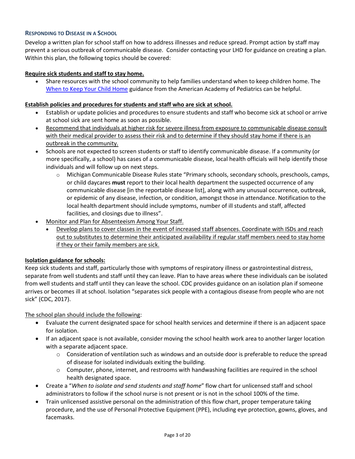# **RESPONDING TO DISEASE IN A SCHOOL**

Develop a written plan for school staff on how to address illnesses and reduce spread. Prompt action by staff may prevent a serious outbreak of communicable disease. Consider contacting your LHD for guidance on creating a plan. Within this plan, the following topics should be covered:

# **Require sick students and staff to stay home.**

• Share resources with the school community to help families understand when to keep children home. The [When to Keep Your Child Home](https://www.healthychildren.org/English/family-life/work-play/Pages/When-to-Keep-Your-Child-Home-from-Child-Care.aspx) guidance from the American Academy of Pediatrics can be helpful.

# **Establish policies and procedures for students and staff who are sick at school.**

- Establish or update policies and procedures to ensure students and staff who become sick at school or arrive at school sick are sent home as soon as possible.
- Recommend that individuals at higher risk for severe illness from exposure to communicable disease consult with their medical provider to assess their risk and to determine if they should stay home if there is an outbreak in the community.
- Schools are not expected to screen students or staff to identify communicable disease. If a community (or more specifically, a school) has cases of a communicable disease, local health officials will help identify those individuals and will follow up on next steps.
	- o Michigan Communicable Disease Rules state "Primary schools, secondary schools, preschools, camps, or child daycares **must** report to their local health department the suspected occurrence of any communicable disease [in the reportable disease list], along with any unusual occurrence, outbreak, or epidemic of any disease, infection, or condition, amongst those in attendance. Notification to the local health department should include symptoms, number of ill students and staff, affected facilities, and closings due to illness".
- Monitor and Plan for Absenteeism Among Your Staff.
	- Develop plans to cover classes in the event of increased staff absences. Coordinate with ISDs and reach out to substitutes to determine their anticipated availability if regular staff members need to stay home if they or their family members are sick.

# **Isolation guidance for schools:**

Keep sick students and staff, particularly those with symptoms of respiratory illness or gastrointestinal distress, separate from well students and staff until they can leave. Plan to have areas where these individuals can be isolated from well students and staff until they can leave the school. CDC provides guidance on an isolation plan if someone arrives or becomes ill at school. Isolation "separates sick people with a contagious disease from people who are not sick" (CDC, 2017).

The school plan should include the following:

- Evaluate the current designated space for school health services and determine if there is an adjacent space for isolation.
- If an adjacent space is not available, consider moving the school health work area to another larger location with a separate adjacent space.
	- o Consideration of ventilation such as windows and an outside door is preferable to reduce the spread of disease for isolated individuals exiting the building.
	- o Computer, phone, internet, and restrooms with handwashing facilities are required in the school health designated space.
- Create a "*When to isolate and send students and staff home*" flow chart for unlicensed staff and school administrators to follow if the school nurse is not present or is not in the school 100% of the time.
- Train unlicensed assistive personal on the administration of this flow chart, proper temperature taking procedure, and the use of Personal Protective Equipment (PPE), including eye protection, gowns, gloves, and facemasks.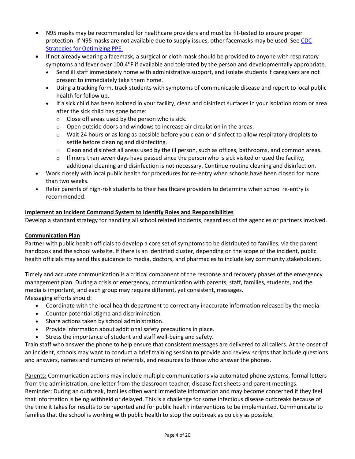- N95 masks may be recommended for healthcare providers and must be fit-tested to ensure proper protection. If N95 masks are not available due to supply issues, other facemasks may be used. See CDC [Strategies for Optimizing PPE.](https://www.cdc.gov/coronavirus/2019-ncov/hcp/ppe-strategy/index.html)
- If not already wearing a facemask, a surgical or cloth mask should be provided to anyone with respiratory symptoms and fever over 100.4<sup>o</sup>F if available and tolerated by the person and developmentally appropriate.
	- Send ill staff immediately home with administrative support, and isolate students if caregivers are not present to immediately take them home.
	- Using a tracking form, track students with symptoms of communicable disease and report to local public health for follow up.
	- If a sick child has been isolated in your facility, clean and disinfect surfaces in your isolation room or area after the sick child has gone home:
		- o Close off areas used by the person who is sick.
		- $\circ$  Open outside doors and windows to increase air circulation in the areas.
		- $\circ$  Wait 24 hours or as long as possible before you clean or disinfect to allow respiratory droplets to settle before cleaning and disinfecting.
		- $\circ$  Clean and disinfect all areas used by the ill person, such as offices, bathrooms, and common areas.
		- $\circ$  If more than seven days have passed since the person who is sick visited or used the facility, additional cleaning and disinfection is not necessary. Continue routine cleaning and disinfection.
- Work closely with local public health for procedures for re-entry when schools have been closed for more than two weeks.
- Refer parents of high-risk students to their healthcare providers to determine when school re-entry is recommended.

# **Implement an Incident Command System to Identify Roles and Responsibilities**

Develop a standard strategy for handling all school related incidents, regardless of the agencies or partners involved.

# **Communication Plan**

Partner with public health officials to develop a core set of symptoms to be distributed to families, via the parent handbook and the school website. If there is an identified cluster, depending on the scope of the incident, public health officials may send this guidance to media, doctors, and pharmacies to include key community stakeholders.

Timely and accurate communication is a critical component of the response and recovery phases of the emergency management plan. During a crisis or emergency, communication with parents, staff, families, students, and the media is important, and each group may require different, yet consistent, messages. Messaging efforts should:

- Coordinate with the local health department to correct any inaccurate information released by the media.
- Counter potential stigma and discrimination.
- Share actions taken by school administration.
- Provide information about additional safety precautions in place.
- Stress the importance of student and staff well-being and safety.

Train staff who answer the phone to help ensure that consistent messages are delivered to all callers. At the onset of an incident, schools may want to conduct a brief training session to provide and review scripts that include questions and answers, names and numbers of referrals, and resources to those who answer the phones.

Parents: Communication actions may include multiple communications via automated phone systems, formal letters from the administration, one letter from the classroom teacher, disease fact sheets and parent meetings. Reminder: During an outbreak, families often want immediate information and may become concerned if they feel that information is being withheld or delayed. This is a challenge for some infectious disease outbreaks because of the time it takes for results to be reported and for public health interventions to be implemented. Communicate to families that the school is working with public health to stop the outbreak as quickly as possible.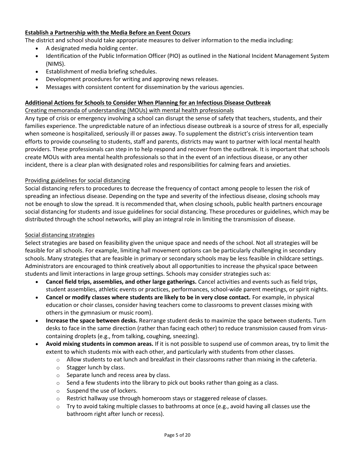# **Establish a Partnership with the Media Before an Event Occurs**

The district and school should take appropriate measures to deliver information to the media including:

- A designated media holding center.
- Identification of the Public Information Officer (PIO) as outlined in the National Incident Management System (NIMS).
- Establishment of media briefing schedules.
- Development procedures for writing and approving news releases.
- Messages with consistent content for dissemination by the various agencies.

#### **Additional Actions for Schools to Consider When Planning for an Infectious Disease Outbreak**

Creating memoranda of understanding (MOUs) with mental health professionals

Any type of crisis or emergency involving a school can disrupt the sense of safety that teachers, students, and their families experience. The unpredictable nature of an infectious disease outbreak is a source of stress for all, especially when someone is hospitalized, seriously ill or passes away. To supplement the district's crisis intervention team efforts to provide counseling to students, staff and parents, districts may want to partner with local mental health providers. These professionals can step in to help respond and recover from the outbreak. It is important that schools create MOUs with area mental health professionals so that in the event of an infectious disease, or any other incident, there is a clear plan with designated roles and responsibilities for calming fears and anxieties.

# Providing guidelines for social distancing

Social distancing refers to procedures to decrease the frequency of contact among people to lessen the risk of spreading an infectious disease. Depending on the type and severity of the infectious disease, closing schools may not be enough to slow the spread. It is recommended that, when closing schools, public health partners encourage social distancing for students and issue guidelines for social distancing. These procedures or guidelines, which may be distributed through the school networks, will play an integral role in limiting the transmission of disease.

# Social distancing strategies

Select strategies are based on feasibility given the unique space and needs of the school. Not all strategies will be feasible for all schools. For example, limiting hall movement options can be particularly challenging in secondary schools. Many strategies that are feasible in primary or secondary schools may be less feasible in childcare settings. Administrators are encouraged to think creatively about all opportunities to increase the physical space between students and limit interactions in large group settings. Schools may consider strategies such as:

- **Cancel field trips, assemblies, and other large gatherings.** Cancel activities and events such as field trips, student assemblies, athletic events or practices, performances, school-wide parent meetings, or spirit nights.
- **Cancel or modify classes where students are likely to be in very close contact.** For example, in physical education or choir classes, consider having teachers come to classrooms to prevent classes mixing with others in the gymnasium or music room).
- **Increase the space between desks.** Rearrange student desks to maximize the space between students. Turn desks to face in the same direction (rather than facing each other) to reduce transmission caused from viruscontaining droplets (e.g., from talking, coughing, sneezing).
- **Avoid mixing students in common areas.** If it is not possible to suspend use of common areas, try to limit the extent to which students mix with each other, and particularly with students from other classes.
	- $\circ$  Allow students to eat lunch and breakfast in their classrooms rather than mixing in the cafeteria.
	- o Stagger lunch by class.
	- o Separate lunch and recess area by class.
	- $\circ$  Send a few students into the library to pick out books rather than going as a class.
	- o Suspend the use of lockers.
	- o Restrict hallway use through homeroom stays or staggered release of classes.
	- $\circ$  Try to avoid taking multiple classes to bathrooms at once (e.g., avoid having all classes use the bathroom right after lunch or recess).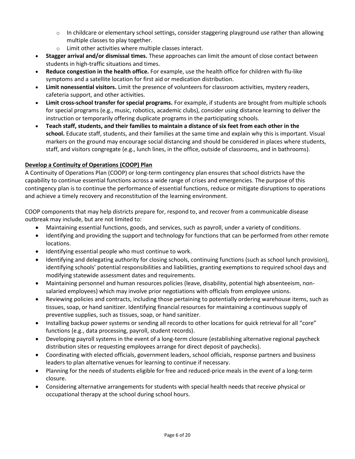- $\circ$  In childcare or elementary school settings, consider staggering playground use rather than allowing multiple classes to play together.
- o Limit other activities where multiple classes interact.
- **Stagger arrival and/or dismissal times.** These approaches can limit the amount of close contact between students in high-traffic situations and times.
- **Reduce congestion in the health office.** For example, use the health office for children with flu-like symptoms and a satellite location for first aid or medication distribution.
- **Limit nonessential visitors.** Limit the presence of volunteers for classroom activities, mystery readers, cafeteria support, and other activities.
- **Limit cross-school transfer for special programs.** For example, if students are brought from multiple schools for special programs (e.g., music, robotics, academic clubs), consider using distance learning to deliver the instruction or temporarily offering duplicate programs in the participating schools.
- **Teach staff, students, and their families to maintain a distance of six feet from each other in the school.** Educate staff, students, and their families at the same time and explain why this is important. Visual markers on the ground may encourage social distancing and should be considered in places where students, staff, and visitors congregate (e.g., lunch lines, in the office, outside of classrooms, and in bathrooms).

# **Develop a Continuity of Operations (COOP) Plan**

A Continuity of Operations Plan (COOP) or long-term contingency plan ensures that school districts have the capability to continue essential functions across a wide range of crises and emergencies. The purpose of this contingency plan is to continue the performance of essential functions, reduce or mitigate disruptions to operations and achieve a timely recovery and reconstitution of the learning environment.

COOP components that may help districts prepare for, respond to, and recover from a communicable disease outbreak may include, but are not limited to:

- Maintaining essential functions, goods, and services, such as payroll, under a variety of conditions.
- Identifying and providing the support and technology for functions that can be performed from other remote locations.
- Identifying essential people who must continue to work.
- Identifying and delegating authority for closing schools, continuing functions (such as school lunch provision), identifying schools' potential responsibilities and liabilities, granting exemptions to required school days and modifying statewide assessment dates and requirements.
- Maintaining personnel and human resources policies (leave, disability, potential high absenteeism, nonsalaried employees) which may involve prior negotiations with officials from employee unions.
- Reviewing policies and contracts, including those pertaining to potentially ordering warehouse items, such as tissues, soap, or hand sanitizer. Identifying financial resources for maintaining a continuous supply of preventive supplies, such as tissues, soap, or hand sanitizer.
- Installing backup power systems or sending all records to other locations for quick retrieval for all "core" functions (e.g., data processing, payroll, student records).
- Developing payroll systems in the event of a long-term closure (establishing alternative regional paycheck distribution sites or requesting employees arrange for direct deposit of paychecks).
- Coordinating with elected officials, government leaders, school officials, response partners and business leaders to plan alternative venues for learning to continue if necessary.
- Planning for the needs of students eligible for free and reduced-price meals in the event of a long-term closure.
- Considering alternative arrangements for students with special health needs that receive physical or occupational therapy at the school during school hours.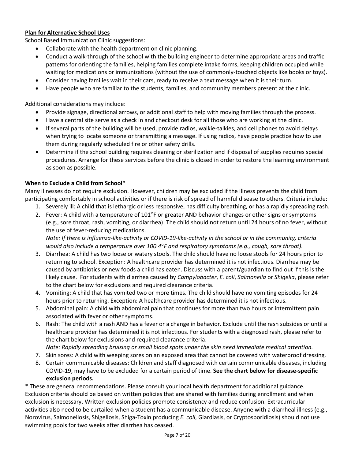# **Plan for Alternative School Uses**

School Based Immunization Clinic suggestions:

- Collaborate with the health department on clinic planning.
- Conduct a walk-through of the school with the building engineer to determine appropriate areas and traffic patterns for orienting the families, helping families complete intake forms, keeping children occupied while waiting for medications or immunizations (without the use of commonly-touched objects like books or toys).
- Consider having families wait in their cars, ready to receive a text message when it is their turn.
- Have people who are familiar to the students, families, and community members present at the clinic.

Additional considerations may include:

- Provide signage, directional arrows, or additional staff to help with moving families through the process.
- Have a central site serve as a check in and checkout desk for all those who are working at the clinic.
- If several parts of the building will be used, provide radios, walkie-talkies, and cell phones to avoid delays when trying to locate someone or transmitting a message. If using radios, have people practice how to use them during regularly scheduled fire or other safety drills.
- Determine if the school building requires cleaning or sterilization and if disposal of supplies requires special procedures. Arrange for these services before the clinic is closed in order to restore the learning environment as soon as possible.

# **When to Exclude a Child from School\***

Many illnesses do not require exclusion. However, children may be excluded if the illness prevents the child from participating comfortably in school activities or if there is risk of spread of harmful disease to others. Criteria include:

- 1. Severely ill: A child that is lethargic or less responsive, has difficulty breathing, or has a rapidly spreading rash.
- 2. Fever: A child with a temperature of  $101^{\circ}$ F or greater AND behavior changes or other signs or symptoms (e.g., sore throat, rash, vomiting, or diarrhea). The child should not return until 24 hours of no fever, without the use of fever-reducing medications.

*Note: If there is influenza-like-activity or COVID-19-like-activity in the school or in the community, criteria would also include a temperature over 100.4F and respiratory symptoms (e.g., cough, sore throat).*

- 3. Diarrhea: A child has two loose or watery stools. The child should have no loose stools for 24 hours prior to returning to school. Exception: A healthcare provider has determined it is not infectious. Diarrhea may be caused by antibiotics or new foods a child has eaten. Discuss with a parent/guardian to find out if this is the likely cause. For students with diarrhea caused by *Campylobacter*, *E. coli*, *Salmonella* or *Shigella*, please refer to the chart below for exclusions and required clearance criteria.
- 4. Vomiting: A child that has vomited two or more times. The child should have no vomiting episodes for 24 hours prior to returning. Exception: A healthcare provider has determined it is not infectious.
- 5. Abdominal pain: A child with abdominal pain that continues for more than two hours or intermittent pain associated with fever or other symptoms.
- 6. Rash: The child with a rash AND has a fever or a change in behavior. Exclude until the rash subsides or until a healthcare provider has determined it is not infectious. For students with a diagnosed rash, please refer to the chart below for exclusions and required clearance criteria.

*Note: Rapidly spreading bruising or small blood spots under the skin need immediate medical attention.*

- 7. Skin sores: A child with weeping sores on an exposed area that cannot be covered with waterproof dressing.
- 8. Certain communicable diseases: Children and staff diagnosed with certain communicable diseases, including COVID-19, may have to be excluded for a certain period of time. **See the chart below for disease-specific exclusion periods.**

\* These are general recommendations. Please consult your local health department for additional guidance. Exclusion criteria should be based on written policies that are shared with families during enrollment and when exclusion is necessary. Written exclusion policies promote consistency and reduce confusion. Extracurricular activities also need to be curtailed when a student has a communicable disease. Anyone with a diarrheal illness (e.g., Norovirus, Salmonellosis, Shigellosis, Shiga-Toxin producing *E. coli*, Giardiasis, or Cryptosporidiosis) should not use swimming pools for two weeks after diarrhea has ceased.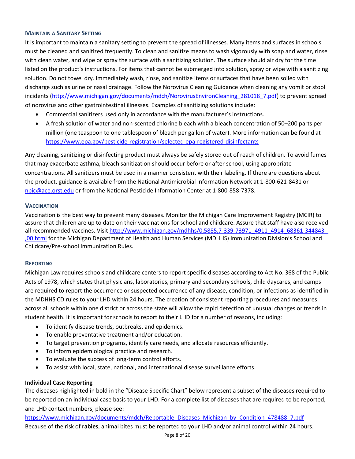# **MAINTAIN A SANITARY SETTING**

It is important to maintain a sanitary setting to prevent the spread of illnesses. Many items and surfaces in schools must be cleaned and sanitized frequently. To clean and sanitize means to wash vigorously with soap and water, rinse with clean water, and wipe or spray the surface with a sanitizing solution. The surface should air dry for the time listed on the product's instructions. For items that cannot be submerged into solution, spray or wipe with a sanitizing solution. Do not towel dry. Immediately wash, rinse, and sanitize items or surfaces that have been soiled with discharge such as urine or nasal drainage. Follow the Norovirus Cleaning Guidance when cleaning any vomit or stool incidents [\(http://www.michigan.gov/documents/mdch/NorovirusEnvironCleaning\\_281018\\_7.pdf\)](http://www.michigan.gov/documents/mdch/NorovirusEnvironCleaning_281018_7.pdf) to prevent spread of norovirus and other gastrointestinal illnesses. Examples of sanitizing solutions include:

- Commercial sanitizers used only in accordance with the manufacturer's instructions.
- A fresh solution of water and non-scented chlorine bleach with a bleach concentration of 50–200 parts per million (one teaspoon to one tablespoon of bleach per gallon of water). More information can be found at <https://www.epa.gov/pesticide-registration/selected-epa-registered-disinfectants>

Any cleaning, sanitizing or disinfecting product must always be safely stored out of reach of children. To avoid fumes that may exacerbate asthma, bleach sanitization should occur before or after school, using appropriate concentrations. All sanitizers must be used in a manner consistent with their labeling. If there are questions about the product, guidance is available from the National Antimicrobial Information Network at 1-800-621-8431 or [npic@ace.orst.edu](mailto:npic@ace.orst.edu) or from the National Pesticide Information Center at 1-800-858-7378.

#### **VACCINATION**

Vaccination is the best way to prevent many diseases. Monitor the Michigan Care Improvement Registry (MCIR) to assure that children are up to date on their vaccinations for school and childcare. Assure that staff have also received all recommended vaccines. Visit [http://www.michigan.gov/mdhhs/0,5885,7-339-73971\\_4911\\_4914\\_68361-344843--](http://www.michigan.gov/mdhhs/0,5885,7-339-73971_4911_4914_68361-344843--,00.html) [,00.html](http://www.michigan.gov/mdhhs/0,5885,7-339-73971_4911_4914_68361-344843--,00.html) for the Michigan Department of Health and Human Services (MDHHS) Immunization Division's School and Childcare/Pre-school Immunization Rules.

# **REPORTING**

Michigan Law requires schools and childcare centers to report specific diseases according to Act No. 368 of the Public Acts of 1978, which states that physicians, laboratories, primary and secondary schools, child daycares, and camps are required to report the occurrence or suspected occurrence of any disease, condition, or infections as identified in the MDHHS CD rules to your LHD within 24 hours. The creation of consistent reporting procedures and measures across all schools within one district or across the state will allow the rapid detection of unusual changes or trends in student health. It is important for schools to report to their LHD for a number of reasons, including:

- To identify disease trends, outbreaks, and epidemics.
- To enable preventative treatment and/or education.
- To target prevention programs, identify care needs, and allocate resources efficiently.
- To inform epidemiological practice and research.
- To evaluate the success of long-term control efforts.
- To assist with local, state, national, and international disease surveillance efforts.

# **Individual Case Reporting**

The diseases highlighted in bold in the "Disease Specific Chart" below represent a subset of the diseases required to be reported on an individual case basis to your LHD. For a complete list of diseases that are required to be reported, and LHD contact numbers, please see:

[https://www.michigan.gov/documents/mdch/Reportable\\_Diseases\\_Michigan\\_by\\_Condition\\_478488\\_7.pdf](https://www.michigan.gov/documents/mdch/Reportable_Diseases_Michigan_by_Condition_478488_7.pdf) Because of the risk of **rabies**, animal bites must be reported to your LHD and/or animal control within 24 hours.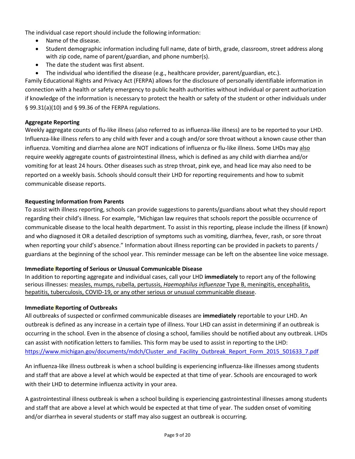The individual case report should include the following information:

- Name of the disease.
- Student demographic information including full name, date of birth, grade, classroom, street address along with zip code, name of parent/guardian, and phone number(s).
- The date the student was first absent.
- The individual who identified the disease (e.g., healthcare provider, parent/guardian, etc.).

Family Educational Rights and Privacy Act (FERPA) allows for the disclosure of personally identifiable information in connection with a health or safety emergency to public health authorities without individual or parent authorization if knowledge of the information is necessary to protect the health or safety of the student or other individuals under § 99.31(a)(10) and § 99.36 of the FERPA regulations.

# **Aggregate Reporting**

Weekly aggregate counts of flu-like illness (also referred to as influenza-like illness) are to be reported to your LHD. Influenza-like illness refers to any child with fever and a cough and/or sore throat without a known cause other than influenza. Vomiting and diarrhea alone are NOT indications of influenza or flu-like illness. Some LHDs may also require weekly aggregate counts of gastrointestinal illness, which is defined as any child with diarrhea and/or vomiting for at least 24 hours. Other diseases such as strep throat, pink eye, and head lice may also need to be reported on a weekly basis. Schools should consult their LHD for reporting requirements and how to submit communicable disease reports.

# **Requesting Information from Parents**

To assist with illness reporting, schools can provide suggestions to parents/guardians about what they should report regarding their child's illness. For example, "Michigan law requires that schools report the possible occurrence of communicable disease to the local health department. To assist in this reporting, please include the illness (if known) and who diagnosed it OR a detailed description of symptoms such as vomiting, diarrhea, fever, rash, or sore throat when reporting your child's absence." Information about illness reporting can be provided in packets to parents / guardians at the beginning of the school year. This reminder message can be left on the absentee line voice message.

# **Immediate Reporting of Serious or Unusual Communicable Disease**

In addition to reporting aggregate and individual cases, call your LHD **immediately** to report any of the following serious illnesses: measles, mumps, rubella, pertussis, *Haemophilus influenzae* Type B, meningitis, encephalitis, hepatitis, tuberculosis, COVID-19, or any other serious or unusual communicable disease.

# **Immediate Reporting of Outbreaks**

All outbreaks of suspected or confirmed communicable diseases are **immediately** reportable to your LHD. An outbreak is defined as any increase in a certain type of illness. Your LHD can assist in determining if an outbreak is occurring in the school. Even in the absence of closing a school, families should be notified about any outbreak. LHDs can assist with notification letters to families. This form may be used to assist in reporting to the LHD: [https://www.michigan.gov/documents/mdch/Cluster\\_and\\_Facility\\_Outbreak\\_Report\\_Form\\_2015\\_501633\\_7.pdf](https://www.michigan.gov/documents/mdch/Cluster_and_Facility_Outbreak_Report_Form_2015_501633_7.pdf)

An influenza-like illness outbreak is when a school building is experiencing influenza-like illnesses among students and staff that are above a level at which would be expected at that time of year. Schools are encouraged to work with their LHD to determine influenza activity in your area.

A gastrointestinal illness outbreak is when a school building is experiencing gastrointestinal illnesses among students and staff that are above a level at which would be expected at that time of year. The sudden onset of vomiting and/or diarrhea in several students or staff may also suggest an outbreak is occurring.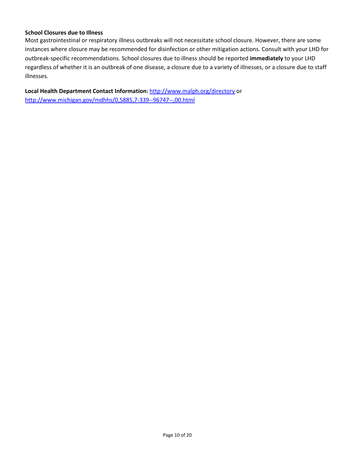# **School Closures due to Illness**

Most gastrointestinal or respiratory illness outbreaks will not necessitate school closure. However, there are some instances where closure may be recommended for disinfection or other mitigation actions. Consult with your LHD for outbreak-specific recommendations. School closures due to illness should be reported **immediately** to your LHD regardless of whether it is an outbreak of one disease, a closure due to a variety of illnesses, or a closure due to staff illnesses.

**Local Health Department Contact Information:** <http://www.malph.org/directory> or <http://www.michigan.gov/mdhhs/0,5885,7-339--96747--,00.html>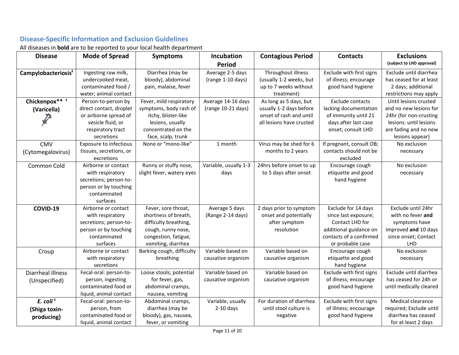# **Disease-Specific Information and Exclusion Guidelines**

All diseases in **bold** are to be reported to your local health department

| <b>Disease</b>                            | <b>Mode of Spread</b>         | <b>Symptoms</b>           | <b>Incubation</b>     | <b>Contagious Period</b> | <b>Contacts</b>          | <b>Exclusions</b>         |
|-------------------------------------------|-------------------------------|---------------------------|-----------------------|--------------------------|--------------------------|---------------------------|
|                                           |                               |                           | <b>Period</b>         |                          |                          | (subject to LHD approval) |
| Campylobacteriosis <sup>+</sup>           | Ingesting raw milk,           | Diarrhea (may be          | Average 2-5 days      | Throughout illness       | Exclude with first signs | Exclude until diarrhea    |
|                                           | undercooked meat,             | bloody), abdominal        | (range 1-10 days)     | (usually 1-2 weeks, but  | of illness; encourage    | has ceased for at least   |
|                                           | contaminated food /           | pain, malaise, fever      |                       | up to 7 weeks without    | good hand hygiene        | 2 days; additional        |
|                                           | water; animal contact         |                           |                       | treatment)               |                          | restrictions may apply    |
| Chickenpox** <sup>+</sup>                 | Person-to-person by           | Fever, mild respiratory   | Average 14-16 days    | As long as 5 days, but   | Exclude contacts         | Until lesions crusted     |
| (Varicella)                               | direct contact, droplet       | symptoms, body rash of    | (range 10-21 days)    | usually 1-2 days before  | lacking documentation    | and no new lesions for    |
|                                           | or airborne spread of         | itchy, blister-like       |                       | onset of rash and until  | of immunity until 21     | 24hr (for non-crusting    |
|                                           | vesicle fluid, or             | lesions, usually          |                       | all lesions have crusted | days after last case     | lesions: until lesions    |
|                                           | respiratory tract             | concentrated on the       |                       |                          | onset; consult LHD       | are fading and no new     |
|                                           | secretions                    | face, scalp, trunk        |                       |                          |                          | lesions appear)           |
| <b>CMV</b>                                | <b>Exposure to infectious</b> | None or "mono-like"       | 1 month               | Virus may be shed for 6  | If pregnant, consult OB; | No exclusion              |
| (Cytomegalovirus)                         | tissues, secretions, or       |                           |                       | months to 2 years        | contacts should not be   | necessary                 |
|                                           | excretions                    |                           |                       |                          | excluded                 |                           |
| Common Cold                               | Airborne or contact           | Runny or stuffy nose,     | Variable, usually 1-3 | 24hrs before onset to up | Encourage cough          | No exclusion              |
|                                           | with respiratory              | slight fever, watery eyes | days                  | to 5 days after onset    | etiquette and good       | necessary                 |
|                                           | secretions; person-to-        |                           |                       |                          | hand hygiene             |                           |
|                                           | person or by touching         |                           |                       |                          |                          |                           |
|                                           | contaminated                  |                           |                       |                          |                          |                           |
|                                           | surfaces                      |                           |                       |                          |                          |                           |
| COVID-19                                  | Airborne or contact           | Fever, sore throat,       | Average 5 days        | 2 days prior to symptom  | Exclude for 14 days      | Exclude until 24hr        |
|                                           | with respiratory              | shortness of breath,      | (Range 2-14 days)     | onset and potentially    | since last exposure;     | with no fever and         |
|                                           | secretions; person-to-        | difficulty breathing,     |                       | after symptom            | Contact LHD for          | symptoms have             |
|                                           | person or by touching         | cough, runny nose,        |                       | resolution               | additional guidance on   | improved and 10 days      |
|                                           | contaminated                  | congestion, fatigue,      |                       |                          | contacts of a confirmed  | since onset; Contact      |
|                                           | surfaces                      | vomiting, diarrhea        |                       |                          | or probable case         | LHD                       |
| Croup                                     | Airborne or contact           | Barking cough, difficulty | Variable based on     | Variable based on        | Encourage cough          | No exclusion              |
|                                           | with respiratory              | breathing                 | causative organism    | causative organism       | etiquette and good       | necessary                 |
|                                           | secretions                    |                           |                       |                          | hand hygiene             |                           |
| <b>Diarrheal Illness</b>                  | Fecal-oral: person-to-        | Loose stools; potential   | Variable based on     | Variable based on        | Exclude with first signs | Exclude until diarrhea    |
| (Unspecified)                             | person, ingesting             | for fever, gas,           | causative organism    | causative organism       | of illness; encourage    | has ceased for 24h or     |
|                                           | contaminated food or          | abdominal cramps,         |                       |                          | good hand hygiene        | until medically cleared   |
|                                           | liquid, animal contact        | nausea, vomiting          |                       |                          |                          |                           |
| $E.$ coli <sup><math>\dagger</math></sup> | Fecal-oral: person-to-        | Abdominal cramps,         | Variable, usually     | For duration of diarrhea | Exclude with first signs | <b>Medical clearance</b>  |
| (Shiga toxin-                             | person, from                  | diarrhea (may be          | $2-10$ days           | until stool culture is   | of illness; encourage    | required; Exclude until   |
| producing)                                | contaminated food or          | bloody), gas, nausea,     |                       | negative                 | good hand hygiene        | diarrhea has ceased       |
|                                           | liquid, animal contact        | fever, or vomiting        |                       |                          |                          | for at least 2 days       |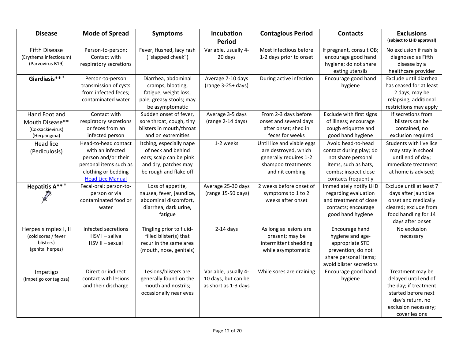| <b>Disease</b>                                                               | <b>Mode of Spread</b>                                                                                                                       | <b>Symptoms</b>                                                                                                             | Incubation<br>Period                                                | <b>Contagious Period</b>                                                                                              | <b>Contacts</b>                                                                                                                            | <b>Exclusions</b><br>(subject to LHD approval)                                                                                                        |
|------------------------------------------------------------------------------|---------------------------------------------------------------------------------------------------------------------------------------------|-----------------------------------------------------------------------------------------------------------------------------|---------------------------------------------------------------------|-----------------------------------------------------------------------------------------------------------------------|--------------------------------------------------------------------------------------------------------------------------------------------|-------------------------------------------------------------------------------------------------------------------------------------------------------|
| <b>Fifth Disease</b><br>(Erythema infectiosum)<br>(Parvovirus B19)           | Person-to-person;<br>Contact with<br>respiratory secretions                                                                                 | Fever, flushed, lacy rash<br>("slapped cheek")                                                                              | Variable, usually 4-<br>20 days                                     | Most infectious before<br>1-2 days prior to onset                                                                     | If pregnant, consult OB;<br>encourage good hand<br>hygiene; do not share<br>eating utensils                                                | No exclusion if rash is<br>diagnosed as Fifth<br>disease by a<br>healthcare provider                                                                  |
| Giardiasis***                                                                | Person-to-person<br>transmission of cysts<br>from infected feces;<br>contaminated water                                                     | Diarrhea, abdominal<br>cramps, bloating,<br>fatigue, weight loss,<br>pale, greasy stools; may<br>be asymptomatic            | Average 7-10 days<br>(range 3-25+ days)                             | During active infection                                                                                               | Encourage good hand<br>hygiene                                                                                                             | Exclude until diarrhea<br>has ceased for at least<br>2 days; may be<br>relapsing; additional<br>restrictions may apply                                |
| Hand Foot and<br>Mouth Disease**<br>(Coxsackievirus)<br>(Herpangina)         | Contact with<br>respiratory secretions<br>or feces from an<br>infected person                                                               | Sudden onset of fever,<br>sore throat, cough, tiny<br>blisters in mouth/throat<br>and on extremities                        | Average 3-5 days<br>(range 2-14 days)                               | From 2-3 days before<br>onset and several days<br>after onset; shed in<br>feces for weeks                             | Exclude with first signs<br>of illness; encourage<br>cough etiquette and<br>good hand hygiene                                              | If secretions from<br>blisters can be<br>contained, no<br>exclusion required                                                                          |
| <b>Head lice</b><br>(Pediculosis)                                            | Head-to-head contact<br>with an infected<br>person and/or their<br>personal items such as<br>clothing or bedding<br><b>Head Lice Manual</b> | Itching, especially nape<br>of neck and behind<br>ears; scalp can be pink<br>and dry; patches may<br>be rough and flake off | 1-2 weeks                                                           | Until lice and viable eggs<br>are destroyed, which<br>generally requires 1-2<br>shampoo treatments<br>and nit combing | Avoid head-to-head<br>contact during play; do<br>not share personal<br>items, such as hats,<br>combs; inspect close<br>contacts frequently | Students with live lice<br>may stay in school<br>until end of day;<br>immediate treatment<br>at home is advised;                                      |
| Hepatitis $A***$<br>Pro                                                      | Fecal-oral; person-to-<br>person or via<br>contaminated food or<br>water                                                                    | Loss of appetite,<br>nausea, fever, jaundice,<br>abdominal discomfort,<br>diarrhea, dark urine,<br>fatigue                  | Average 25-30 days<br>(range 15-50 days)                            | 2 weeks before onset of<br>symptoms to 1 to 2<br>weeks after onset                                                    | Immediately notify LHD<br>regarding evaluation<br>and treatment of close<br>contacts; encourage<br>good hand hygiene                       | Exclude until at least 7<br>days after jaundice<br>onset and medically<br>cleared; exclude from<br>food handling for 14<br>days after onset           |
| Herpes simplex I, II<br>(cold sores / fever<br>blisters)<br>(genital herpes) | Infected secretions<br>HSV I - saliva<br>$HSV II - sexual$                                                                                  | Tingling prior to fluid-<br>filled blister(s) that<br>recur in the same area<br>(mouth, nose, genitals)                     | $2-14$ days                                                         | As long as lesions are<br>present; may be<br>intermittent shedding<br>while asymptomatic                              | Encourage hand<br>hygiene and age-<br>appropriate STD<br>prevention; do not<br>share personal items;<br>avoid blister secretions           | No exclusion<br>necessary                                                                                                                             |
| Impetigo<br>(Impetigo contagiosa)                                            | Direct or indirect<br>contact with lesions<br>and their discharge                                                                           | Lesions/blisters are<br>generally found on the<br>mouth and nostrils;<br>occasionally near eyes                             | Variable, usually 4-<br>10 days, but can be<br>as short as 1-3 days | While sores are draining                                                                                              | Encourage good hand<br>hygiene                                                                                                             | Treatment may be<br>delayed until end of<br>the day; if treatment<br>started before next<br>day's return, no<br>exclusion necessary;<br>cover lesions |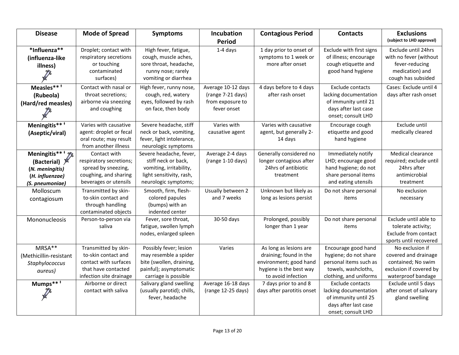| <b>Disease</b>                                                                               | <b>Mode of Spread</b>                                                                                                  | <b>Symptoms</b>                                                                                                               | Incubation                                                                 | <b>Contagious Period</b>                                                                                                    | <b>Contacts</b>                                                                                                         | <b>Exclusions</b><br>(subject to LHD approval)                                                                 |
|----------------------------------------------------------------------------------------------|------------------------------------------------------------------------------------------------------------------------|-------------------------------------------------------------------------------------------------------------------------------|----------------------------------------------------------------------------|-----------------------------------------------------------------------------------------------------------------------------|-------------------------------------------------------------------------------------------------------------------------|----------------------------------------------------------------------------------------------------------------|
| *Influenza**<br>(influenza-like<br>illness)                                                  | Droplet; contact with<br>respiratory secretions<br>or touching<br>contaminated                                         | High fever, fatigue,<br>cough, muscle aches,<br>sore throat, headache,<br>runny nose; rarely                                  | <b>Period</b><br>1-4 days                                                  | 1 day prior to onset of<br>symptoms to 1 week or<br>more after onset                                                        | Exclude with first signs<br>of illness; encourage<br>cough etiquette and<br>good hand hygiene                           | Exclude until 24hrs<br>with no fever (without<br>fever-reducing<br>medication) and                             |
| Measles***<br>(Rubeola)<br>(Hard/red measles)                                                | surfaces)<br>Contact with nasal or<br>throat secretions;<br>airborne via sneezing<br>and coughing                      | vomiting or diarrhea<br>High fever, runny nose,<br>cough, red, watery<br>eyes, followed by rash<br>on face, then body         | Average 10-12 days<br>(range 7-21 days)<br>from exposure to<br>fever onset | 4 days before to 4 days<br>after rash onset                                                                                 | Exclude contacts<br>lacking documentation<br>of immunity until 21<br>days after last case<br>onset; consult LHD         | cough has subsided<br>Cases: Exclude until 4<br>days after rash onset                                          |
| Meningitis***<br>(Aseptic/viral)                                                             | Varies with causative<br>agent: droplet or fecal<br>oral route; may result<br>from another illness                     | Severe headache, stiff<br>neck or back, vomiting,<br>fever, light intolerance,<br>neurologic symptoms                         | Varies with<br>causative agent                                             | Varies with causative<br>agent, but generally 2-<br>14 days                                                                 | Encourage cough<br>etiquette and good<br>hand hygiene                                                                   | Exclude until<br>medically cleared                                                                             |
| Meningitis** + 2<br>(Bacterial) $*$<br>(N. meningitis)<br>(H. influenzae)<br>(S. pneumoniae) | Contact with<br>respiratory secretions;<br>spread by sneezing,<br>coughing, and sharing<br>beverages or utensils       | Severe headache, fever,<br>stiff neck or back,<br>vomiting, irritability,<br>light sensitivity, rash,<br>neurologic symptoms; | Average 2-4 days<br>(range 1-10 days)                                      | Generally considered no<br>longer contagious after<br>24hrs of antibiotic<br>treatment                                      | Immediately notify<br>LHD; encourage good<br>hand hygiene; do not<br>share personal items<br>and eating utensils        | Medical clearance<br>required; exclude until<br>24hrs after<br>antimicrobial<br>treatment                      |
| Molloscum<br>contagiosum                                                                     | Transmitted by skin-<br>to-skin contact and<br>through handling<br>contaminated objects                                | Smooth, firm, flesh-<br>colored papules<br>(bumps) with an<br>indented center                                                 | Usually between 2<br>and 7 weeks                                           | Unknown but likely as<br>long as lesions persist                                                                            | Do not share personal<br>items                                                                                          | No exclusion<br>necessary                                                                                      |
| Mononucleosis                                                                                | Person-to-person via<br>saliva                                                                                         | Fever, sore throat,<br>fatigue, swollen lymph<br>nodes, enlarged spleen                                                       | 30-50 days                                                                 | Prolonged, possibly<br>longer than 1 year                                                                                   | Do not share personal<br>items                                                                                          | Exclude until able to<br>tolerate activity;<br>Exclude from contact<br>sports until recovered                  |
| MRSA**<br>(Methicillin-resistant<br>Staphylococcus<br>aureus)                                | Transmitted by skin-<br>to-skin contact and<br>contact with surfaces<br>that have contacted<br>infection site drainage | Possibly fever; lesion<br>may resemble a spider<br>bite (swollen, draining,<br>painful); asymptomatic<br>carriage is possible | Varies                                                                     | As long as lesions are<br>draining; found in the<br>environment; good hand<br>hygiene is the best way<br>to avoid infection | Encourage good hand<br>hygiene; do not share<br>personal items such as<br>towels, washcloths,<br>clothing, and uniforms | No exclusion if<br>covered and drainage<br>contained; No swim<br>exclusion if covered by<br>waterproof bandage |
| Mumps***<br><b>CENTRAL</b>                                                                   | Airborne or direct<br>contact with saliva                                                                              | Salivary gland swelling<br>(usually parotid); chills,<br>fever, headache                                                      | Average 16-18 days<br>(range 12-25 days)                                   | 7 days prior to and 8<br>days after parotitis onset                                                                         | Exclude contacts<br>lacking documentation<br>of immunity until 25<br>days after last case<br>onset; consult LHD         | Exclude until 5 days<br>after onset of salivary<br>gland swelling                                              |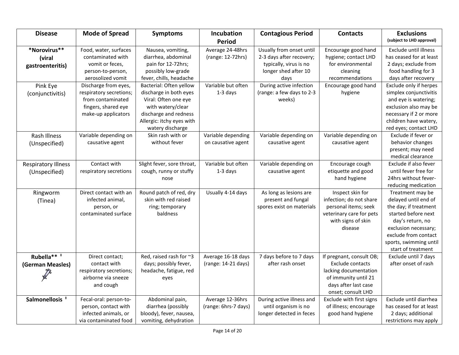| <b>Disease</b>             | <b>Mode of Spread</b>   | <b>Symptoms</b>            | Incubation           | <b>Contagious Period</b>  | <b>Contacts</b>          | <b>Exclusions</b><br>(subject to LHD approval) |
|----------------------------|-------------------------|----------------------------|----------------------|---------------------------|--------------------------|------------------------------------------------|
|                            |                         |                            | <b>Period</b>        |                           |                          |                                                |
| *Norovirus**               | Food, water, surfaces   | Nausea, vomiting,          | Average 24-48hrs     | Usually from onset until  | Encourage good hand      | Exclude until illness                          |
| (viral                     | contaminated with       | diarrhea, abdominal        | (range: 12-72hrs)    | 2-3 days after recovery;  | hygiene; contact LHD     | has ceased for at least                        |
| gastroenteritis)           | vomit or feces,         | pain for 12-72hrs;         |                      | typically, virus is no    | for environmental        | 2 days; exclude from                           |
|                            | person-to-person,       | possibly low-grade         |                      | longer shed after 10      | cleaning                 | food handling for 3                            |
|                            | aerosolized vomit       | fever, chills, headache    |                      | days                      | recommendations          | days after recovery                            |
| Pink Eye                   | Discharge from eyes,    | Bacterial: Often yellow    | Variable but often   | During active infection   | Encourage good hand      | Exclude only if herpes                         |
| (conjunctivitis)           | respiratory secretions; | discharge in both eyes     | 1-3 days             | (range: a few days to 2-3 | hygiene                  | simplex conjunctivitis                         |
|                            | from contaminated       | Viral: Often one eye       |                      | weeks)                    |                          | and eye is watering;                           |
|                            | fingers, shared eye     | with watery/clear          |                      |                           |                          | exclusion also may be                          |
|                            | make-up applicators     | discharge and redness      |                      |                           |                          | necessary if 2 or more                         |
|                            |                         | Allergic: itchy eyes with  |                      |                           |                          | children have watery,                          |
|                            |                         | watery discharge           |                      |                           |                          | red eyes; contact LHD                          |
| Rash Illness               | Variable depending on   | Skin rash with or          | Variable depending   | Variable depending on     | Variable depending on    | Exclude if fever or                            |
| (Unspecified)              | causative agent         | without fever              | on causative agent   | causative agent           | causative agent          | behavior changes                               |
|                            |                         |                            |                      |                           |                          | present; may need                              |
|                            |                         |                            |                      |                           |                          | medical clearance                              |
| <b>Respiratory Illness</b> | Contact with            | Slight fever, sore throat, | Variable but often   | Variable depending on     | Encourage cough          | Exclude if also fever                          |
| (Unspecified)              | respiratory secretions  | cough, runny or stuffy     | 1-3 days             | causative agent           | etiquette and good       | until fever free for                           |
|                            |                         | nose                       |                      |                           | hand hygiene             | 24hrs without fever-                           |
|                            |                         |                            |                      |                           |                          | reducing medication                            |
| Ringworm                   | Direct contact with an  | Round patch of red, dry    | Usually 4-14 days    | As long as lesions are    | Inspect skin for         | Treatment may be                               |
| (Tinea)                    | infected animal,        | skin with red raised       |                      | present and fungal        | infection; do not share  | delayed until end of                           |
|                            | person, or              | ring; temporary            |                      | spores exist on materials | personal items; seek     | the day; if treatment                          |
|                            | contaminated surface    | baldness                   |                      |                           | veterinary care for pets | started before next                            |
|                            |                         |                            |                      |                           | with signs of skin       | day's return, no                               |
|                            |                         |                            |                      |                           | disease                  | exclusion necessary;                           |
|                            |                         |                            |                      |                           |                          | exclude from contact                           |
|                            |                         |                            |                      |                           |                          | sports, swimming until                         |
|                            |                         |                            |                      |                           |                          | start of treatment                             |
| Rubella** *                | Direct contact;         | Red, raised rash for ~3    | Average 16-18 days   | 7 days before to 7 days   | If pregnant, consult OB; | Exclude until 7 days                           |
| (German Measles)           | contact with            | days; possibly fever,      | (range: 14-21 days)  | after rash onset          | <b>Exclude contacts</b>  | after onset of rash                            |
|                            | respiratory secretions; | headache, fatigue, red     |                      |                           | lacking documentation    |                                                |
|                            | airborne via sneeze     | eyes                       |                      |                           | of immunity until 21     |                                                |
|                            | and cough               |                            |                      |                           | days after last case     |                                                |
|                            |                         |                            |                      |                           | onset; consult LHD       |                                                |
| <b>Salmonellosis</b>       | Fecal-oral: person-to-  | Abdominal pain,            | Average 12-36hrs     | During active illness and | Exclude with first signs | Exclude until diarrhea                         |
|                            | person, contact with    | diarrhea (possibly         | (range: 6hrs-7 days) | until organism is no      | of illness; encourage    | has ceased for at least                        |
|                            | infected animals, or    | bloody), fever, nausea,    |                      | longer detected in feces  | good hand hygiene        | 2 days; additional                             |
|                            | via contaminated food   | vomiting, dehydration      |                      |                           |                          | restrictions may apply                         |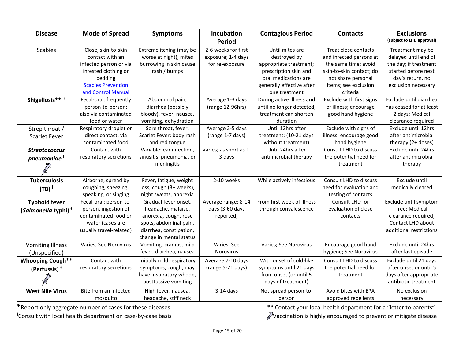| <b>Disease</b>                  | <b>Mode of Spread</b>     | <b>Symptoms</b>            | Incubation             | <b>Contagious Period</b>   | <b>Contacts</b>          | <b>Exclusions</b>         |
|---------------------------------|---------------------------|----------------------------|------------------------|----------------------------|--------------------------|---------------------------|
|                                 |                           |                            | Period                 |                            |                          | (subject to LHD approval) |
| <b>Scabies</b>                  | Close, skin-to-skin       | Extreme itching (may be    | 2-6 weeks for first    | Until mites are            | Treat close contacts     | Treatment may be          |
|                                 | contact with an           | worse at night); mites     | exposure; 1-4 days     | destroyed by               | and infected persons at  | delayed until end of      |
|                                 | infected person or via    | burrowing in skin cause    | for re-exposure        | appropriate treatment;     | the same time; avoid     | the day; if treatment     |
|                                 | infested clothing or      | rash / bumps               |                        | prescription skin and      | skin-to-skin contact; do | started before next       |
|                                 | bedding                   |                            |                        | oral medications are       | not share personal       | day's return, no          |
|                                 | <b>Scabies Prevention</b> |                            |                        | generally effective after  | items; see exclusion     | exclusion necessary       |
|                                 | and Control Manual        |                            |                        | one treatment              | criteria                 |                           |
| Shigellosis** *                 | Fecal-oral: frequently    | Abdominal pain,            | Average 1-3 days       | During active illness and  | Exclude with first signs | Exclude until diarrhea    |
|                                 | person-to-person;         | diarrhea (possibly         | (range 12-96hrs)       | until no longer detected;  | of illness; encourage    | has ceased for at least   |
|                                 | also via contaminated     | bloody), fever, nausea,    |                        | treatment can shorten      | good hand hygiene        | 2 days; Medical           |
|                                 | food or water             | vomiting, dehydration      |                        | duration                   |                          | clearance required        |
| Strep throat /                  | Respiratory droplet or    | Sore throat, fever;        | Average 2-5 days       | Until 12hrs after          | Exclude with signs of    | Exclude until 12hrs       |
| <b>Scarlet Fever</b>            | direct contact; via       | Scarlet Fever: body rash   | (range 1-7 days)       | treatment; (10-21 days     | illness; encourage good  | after antimicrobial       |
|                                 | contaminated food         | and red tongue             |                        | without treatment)         | hand hygiene             | therapy (2+ doses)        |
| Streptococcus                   | Contact with              | Variable: ear infection,   | Varies; as short as 1- | Until 24hrs after          | Consult LHD to discuss   | Exclude until 24hrs       |
| pneumoniae <sup>†</sup>         | respiratory secretions    | sinusitis, pneumonia, or   | 3 days                 | antimicrobial therapy      | the potential need for   | after antimicrobial       |
|                                 |                           | meningitis                 |                        |                            | treatment                | therapy                   |
|                                 |                           |                            |                        |                            |                          |                           |
| <b>Tuberculosis</b>             | Airborne; spread by       | Fever, fatigue, weight     | 2-10 weeks             | While actively infectious  | Consult LHD to discuss   | Exclude until             |
| $(TB)$ <sup>+</sup>             | coughing, sneezing,       | loss, cough (3+ weeks),    |                        |                            | need for evaluation and  | medically cleared         |
|                                 | speaking, or singing      | night sweats, anorexia     |                        |                            | testing of contacts      |                           |
| <b>Typhoid fever</b>            | Fecal-oral: person-to-    | Gradual fever onset,       | Average range: 8-14    | From first week of illness | Consult LHD for          | Exclude until symptom     |
| (Salmonella typhi) <sup>†</sup> | person, ingestion of      | headache, malaise,         | days (3-60 days        | through convalescence      | evaluation of close      | free; Medical             |
|                                 | contaminated food or      | anorexia, cough, rose      | reported)              |                            | contacts                 | clearance required;       |
|                                 | water (cases are          | spots, abdominal pain,     |                        |                            |                          | Contact LHD about         |
|                                 | usually travel-related)   | diarrhea, constipation,    |                        |                            |                          | additional restrictions   |
|                                 |                           | change in mental status    |                        |                            |                          |                           |
| <b>Vomiting Illness</b>         | Varies; See Norovirus     | Vomiting, cramps, mild     | Varies; See            | Varies; See Norovirus      | Encourage good hand      | Exclude until 24hrs       |
| (Unspecified)                   |                           | fever, diarrhea, nausea    | Norovirus              |                            | hygiene; See Norovirus   | after last episode        |
| <b>Whooping Cough**</b>         | Contact with              | Initially mild respiratory | Average 7-10 days      | With onset of cold-like    | Consult LHD to discuss   | Exclude until 21 days     |
| (Pertussis) $†$                 | respiratory secretions    | symptoms, cough; may       | (range 5-21 days)      | symptoms until 21 days     | the potential need for   | after onset or until 5    |
|                                 |                           | have inspiratory whoop,    |                        | from onset (or until 5     | treatment                | days after appropriate    |
|                                 |                           | posttussive vomiting       |                        | days of treatment)         |                          | antibiotic treatment      |
| <b>West Nile Virus</b>          | Bite from an infected     | High fever, nausea,        | $3-14$ days            | Not spread person-to-      | Avoid bites with EPA     | No exclusion              |
|                                 | mosquito                  | headache, stiff neck       |                        | person                     | approved repellents      | necessary                 |

**\***Report only aggregate number of cases for these diseases \*\* Contact your local health department for a "letter to parents"

<sup>+</sup>Consult with local health department on case-by-case basis vaccination is highly encouraged to prevent or mitigate disease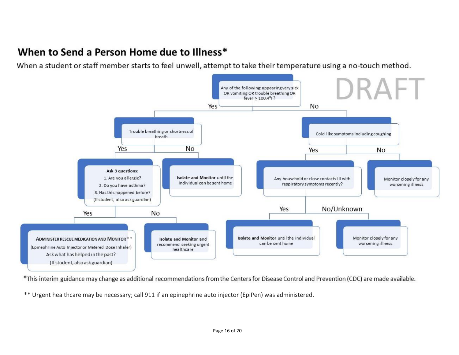# When to Send a Person Home due to Illness\*

When a student or staff member starts to feel unwell, attempt to take their temperature using a no-touch method.



\*This interim guidance may change as additional recommendations from the Centers for Disease Control and Prevention (CDC) are made available.

\*\* Urgent healthcare may be necessary; call 911 if an epinephrine auto injector (EpiPen) was administered.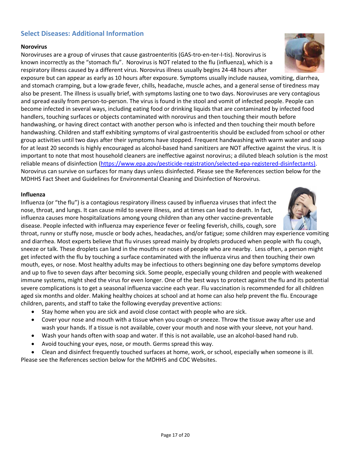# **Select Diseases: Additional Information**

#### **Norovirus**

Noroviruses are a group of viruses that cause gastroenteritis (GAS-tro-en-ter-I-tis). Norovirus is known incorrectly as the "stomach flu". Norovirus is NOT related to the flu (influenza), which is a respiratory illness caused by a different virus. Norovirus illness usually begins 24-48 hours after

exposure but can appear as early as 10 hours after exposure. Symptoms usually include nausea, vomiting, diarrhea, and stomach cramping, but a low-grade fever, chills, headache, muscle aches, and a general sense of tiredness may also be present. The illness is usually brief, with symptoms lasting one to two days. Noroviruses are very contagious and spread easily from person-to-person. The virus is found in the stool and vomit of infected people. People can become infected in several ways, including eating food or drinking liquids that are contaminated by infected food handlers, touching surfaces or objects contaminated with norovirus and then touching their mouth before handwashing, or having direct contact with another person who is infected and then touching their mouth before handwashing. Children and staff exhibiting symptoms of viral gastroenteritis should be excluded from school or other group activities until two days after their symptoms have stopped. Frequent handwashing with warm water and soap for at least 20 seconds is highly encouraged as alcohol-based hand sanitizers are NOT affective against the virus. It is important to note that most household cleaners are ineffective against norovirus; a diluted bleach solution is the most reliable means of disinfection [\(https://www.epa.gov/pesticide-registration/selected-epa-registered-disinfectants\)](https://www.epa.gov/pesticide-registration/selected-epa-registered-disinfectants). Norovirus can survive on surfaces for many days unless disinfected. Please see the References section below for the MDHHS Fact Sheet and Guidelines for Environmental Cleaning and Disinfection of Norovirus.

#### **Influenza**

Influenza (or "the flu") is a contagious respiratory illness caused by influenza viruses that infect the nose, throat, and lungs. It can cause mild to severe illness, and at times can lead to death. In fact, influenza causes more hospitalizations among young children than any other vaccine-preventable disease. People infected with influenza may experience fever or feeling feverish, chills, cough, sore

throat, runny or stuffy nose, muscle or body aches, headaches, and/or fatigue; some children may experience vomiting and diarrhea. Most experts believe that flu viruses spread mainly by droplets produced when people with flu cough, sneeze or talk. These droplets can land in the mouths or noses of people who are nearby. Less often, a person might get infected with the flu by touching a surface contaminated with the influenza virus and then touching their own mouth, eyes, or nose. Most healthy adults may be infectious to others beginning one day before symptoms develop and up to five to seven days after becoming sick. Some people, especially young children and people with weakened immune systems, might shed the virus for even longer. One of the best ways to protect against the flu and its potential severe complications is to get a seasonal influenza vaccine each year. Flu vaccination is recommended for all children aged six months and older. Making healthy choices at school and at home can also help prevent the flu. Encourage children, parents, and staff to take the following everyday preventive actions:

- Stay home when you are sick and avoid close contact with people who are sick.
- Cover your nose and mouth with a tissue when you cough or sneeze. Throw the tissue away after use and wash your hands. If a tissue is not available, cover your mouth and nose with your sleeve, not your hand.
- Wash your hands often with soap and water. If this is not available, use an alcohol-based hand rub.
- Avoid touching your eyes, nose, or mouth. Germs spread this way.

• Clean and disinfect frequently touched surfaces at home, work, or school, especially when someone is ill. Please see the References section below for the MDHHS and CDC Websites.



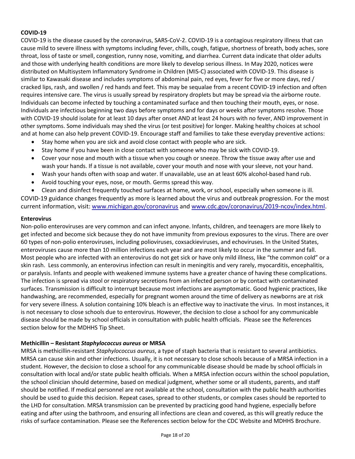# **COVID-19**

COVID-19 is the disease caused by the coronavirus, SARS-CoV-2. COVID-19 is a contagious respiratory illness that can cause mild to severe illness with symptoms including fever, chills, cough, fatigue, shortness of breath, body aches, sore throat, loss of taste or smell, congestion, runny nose, vomiting, and diarrhea. Current data indicate that older adults and those with underlying health conditions are more likely to develop serious illness. In May 2020, notices were distributed on Multisystem Inflammatory Syndrome in Children (MIS-C) associated with COVID-19. This disease is similar to Kawasaki disease and includes symptoms of abdominal pain, red eyes, fever for five or more days, red / cracked lips, rash, and swollen / red hands and feet. This may be sequalae from a recent COVID-19 infection and often requires intensive care. The virus is usually spread by respiratory droplets but may be spread via the airborne route. Individuals can become infected by touching a contaminated surface and then touching their mouth, eyes, or nose. Individuals are infectious beginning two days before symptoms and for days or weeks after symptoms resolve. Those with COVID-19 should isolate for at least 10 days after onset AND at least 24 hours with no fever, AND improvement in other symptoms. Some individuals may shed the virus (or test positive) for longer. Making healthy choices at school and at home can also help prevent COVID-19. Encourage staff and families to take these everyday preventive actions:

- Stay home when you are sick and avoid close contact with people who are sick.
- Stay home if you have been in close contact with someone who may be sick with COVID-19.
- Cover your nose and mouth with a tissue when you cough or sneeze. Throw the tissue away after use and wash your hands. If a tissue is not available, cover your mouth and nose with your sleeve, not your hand.
- Wash your hands often with soap and water. If unavailable, use an at least 60% alcohol-based hand rub.
- Avoid touching your eyes, nose, or mouth. Germs spread this way.
- Clean and disinfect frequently touched surfaces at home, work, or school, especially when someone is ill. COVID-19 guidance changes frequently as more is learned about the virus and outbreak progression. For the most current information, visit[: www.michigan.gov/coronavirus](http://www.michigan.gov/coronavirus) and [www.cdc.gov/coronavirus/2019-ncov/index.html.](http://www.cdc.gov/coronavirus/2019-ncov/index.html)

#### **Enterovirus**

Non-polio enteroviruses are very common and can infect anyone. Infants, children, and teenagers are more likely to get infected and become sick because they do not have immunity from previous exposures to the virus. There are over 60 types of non-polio enteroviruses, including polioviruses, coxsackieviruses, and echoviruses. In the United States, enteroviruses cause more than 10 million infections each year and are most likely to occur in the summer and fall. Most people who are infected with an enterovirus do not get sick or have only mild illness, like "the common cold" or a skin rash. Less commonly, an enterovirus infection can result in meningitis and very rarely, myocarditis, encephalitis, or paralysis. Infants and people with weakened immune systems have a greater chance of having these complications. The infection is spread via stool or respiratory secretions from an infected person or by contact with contaminated surfaces. Transmission is difficult to interrupt because most infections are asymptomatic. Good hygienic practices, like handwashing, are recommended, especially for pregnant women around the time of delivery as newborns are at risk for very severe illness. A solution containing 10% bleach is an effective way to inactivate the virus. In most instances, it is not necessary to close schools due to enterovirus. However, the decision to close a school for any communicable disease should be made by school officials in consultation with public health officials. Please see the References section below for the MDHHS Tip Sheet.

#### **Methicillin – Resistant** *Staphylococcus aureus* **or MRSA**

MRSA is methicillin-resistant *Staphylococcus aureus*, a type of staph bacteria that is resistant to several antibiotics. MRSA can cause skin and other infections. Usually, it is not necessary to close schools because of a MRSA infection in a student. However, the decision to close a school for any communicable disease should be made by school officials in consultation with local and/or state public health officials. When a MRSA infection occurs within the school population, the school clinician should determine, based on medical judgment, whether some or all students, parents, and staff should be notified. If medical personnel are not available at the school, consultation with the public health authorities should be used to guide this decision. Repeat cases, spread to other students, or complex cases should be reported to the LHD for consultation. MRSA transmission can be prevented by practicing good hand hygiene, especially before eating and after using the bathroom, and ensuring all infections are clean and covered, as this will greatly reduce the risks of surface contamination. Please see the References section below for the CDC Website and MDHHS Brochure.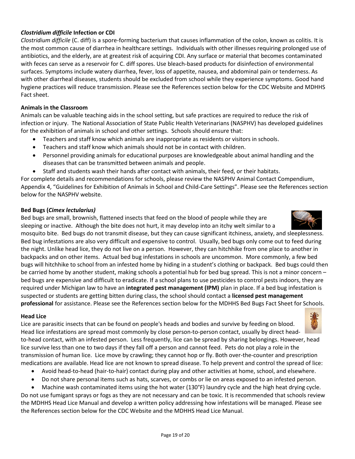# *Clostridium difficile* **Infection or CDI**

*Clostridium difficile* (C. diff) is a spore-forming bacterium that causes inflammation of the colon, known as colitis. It is the most common cause of diarrhea in healthcare settings. Individuals with other illnesses requiring prolonged use of antibiotics, and the elderly, are at greatest risk of acquiring CDI. Any surface or material that becomes contaminated with feces can serve as a reservoir for C. diff spores. Use bleach-based products for disinfection of environmental surfaces. Symptoms include watery diarrhea, fever, loss of appetite, nausea, and abdominal pain or tenderness. As with other diarrheal diseases, students should be excluded from school while they experience symptoms. Good hand hygiene practices will reduce transmission. Please see the References section below for the CDC Website and MDHHS Fact sheet.

#### **Animals in the Classroom**

Animals can be valuable teaching aids in the school setting, but safe practices are required to reduce the risk of infection or injury. The National Association of State Public Health Veterinarians (NASPHV) has developed guidelines for the exhibition of animals in school and other settings. Schools should ensure that:

- Teachers and staff know which animals are inappropriate as residents or visitors in schools.
- Teachers and staff know which animals should not be in contact with children.
- Personnel providing animals for educational purposes are knowledgeable about animal handling and the diseases that can be transmitted between animals and people.
- Staff and students wash their hands after contact with animals, their feed, or their habitats.

For complete details and recommendations for schools, please review the NASPHV Animal Contact Compendium, Appendix 4, "Guidelines for Exhibition of Animals in School and Child-Care Settings". Please see the References section below for the NASPHV website.

#### **Bed Bugs (***Cimex lectularius)*

Bed bugs are small, brownish, flattened insects that feed on the blood of people while they are sleeping or inactive. Although the bite does not hurt, it may develop into an itchy welt similar to a

mosquito bite. Bed bugs do not transmit disease, but they can cause significant itchiness, anxiety, and sleeplessness. Bed bug infestations are also very difficult and expensive to control. Usually, bed bugs only come out to feed during the night. Unlike head lice, they do not live on a person. However, they can hitchhike from one place to another in backpacks and on other items. Actual bed bug infestations in schools are uncommon. More commonly, a few bed bugs will hitchhike to school from an infested home by hiding in a student's clothing or backpack. Bed bugs could then be carried home by another student, making schools a potential hub for bed bug spread. This is not a minor concern – bed bugs are expensive and difficult to eradicate. If a school plans to use pesticides to control pests indoors, they are required under Michigan law to have an **integrated pest management (IPM)** plan in place. If a bed bug infestation is suspected or students are getting bitten during class, the school should contact a **licensed pest management professional** for assistance. Please see the References section below for the MDHHS Bed Bugs Fact Sheet for Schools.

#### **Head Lice**

Lice are parasitic insects that can be found on people's heads and bodies and survive by feeding on blood. Head lice infestations are spread most commonly by close person-to-person contact, usually by direct headto-head contact, with an infested person. Less frequently, lice can be spread by sharing belongings. However, head lice survive less than one to two days if they fall off a person and cannot feed. Pets do not play a role in the transmission of human lice. Lice move by crawling; they cannot hop or fly. Both over-the-counter and prescription medications are available. Head lice are not known to spread disease. To help prevent and control the spread of lice:

- Avoid head-to-head (hair-to-hair) contact during play and other activities at home, school, and elsewhere.
- Do not share personal items such as hats, scarves, or combs or lie on areas exposed to an infested person.
- Machine wash contaminated items using the hot water (130°F) laundry cycle and the high heat drying cycle.

Do not use fumigant sprays or fogs as they are not necessary and can be toxic. It is recommended that schools review the MDHHS Head Lice Manual and develop a written policy addressing how infestations will be managed. Please see the References section below for the CDC Website and the MDHHS Head Lice Manual.